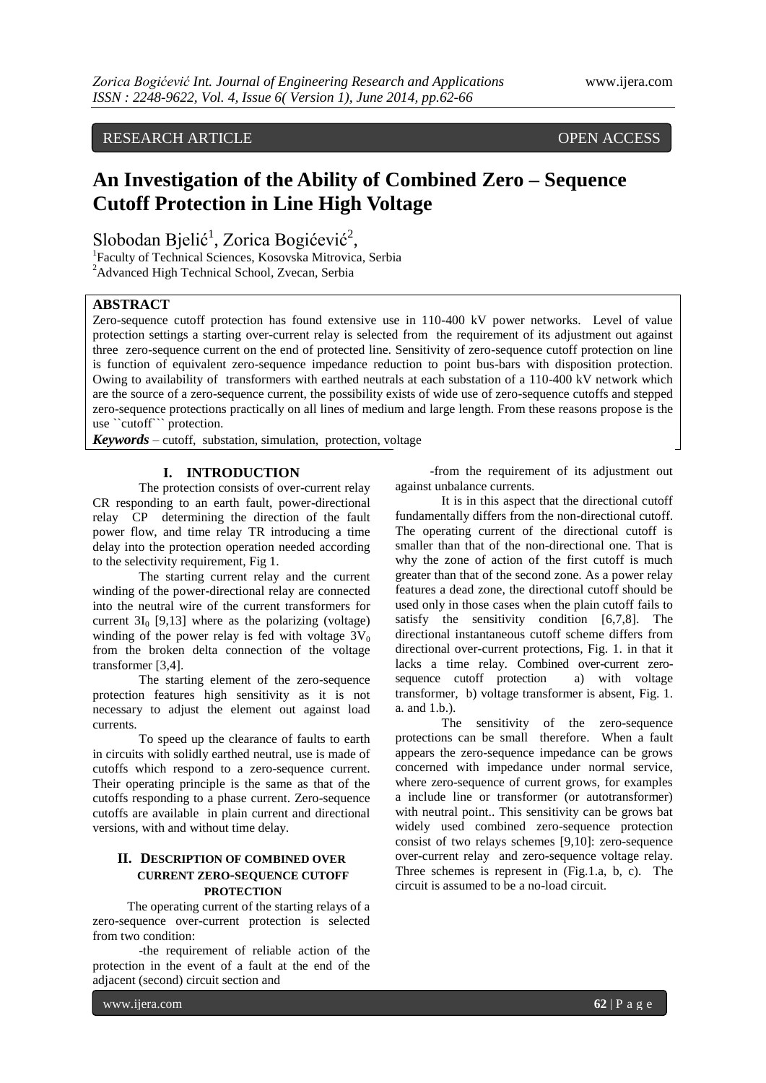RESEARCH ARTICLE OPEN ACCESS

# **An Investigation of the Ability of Combined Zero – Sequence Cutoff Protection in Line High Voltage**

Slobodan Bjelić<sup>1</sup>, Zorica Bogićević<sup>2</sup>,

1 Faculty of Technical Sciences, Kosovska Mitrovica, Serbia <sup>2</sup>Advanced High Technical School, Zvecan, Serbia

# **ABSTRACT**

Zero-sequence cutoff protection has found extensive use in 110-400 kV power networks. Level of value protection settings a starting over-current relay is selected from the requirement of its adjustment out against three zero-sequence current on the end of protected line. Sensitivity of zero-sequence cutoff protection on line is function of equivalent zero-sequence impedance reduction to point bus-bars with disposition protection. Owing to availability of transformers with earthed neutrals at each substation of a 110-400 kV network which are the source of a zero-sequence current, the possibility exists of wide use of zero-sequence cutoffs and stepped zero-sequence protections practically on all lines of medium and large length. From these reasons propose is the use ``cutoff``` protection.

*Keywords* – cutoff, substation, simulation, protection, voltage

## **I. INTRODUCTION**

The protection consists of over-current relay CR responding to an earth fault, power-directional relay CP determining the direction of the fault power flow, and time relay TR introducing a time delay into the protection operation needed according to the selectivity requirement, Fig 1.

The starting current relay and the current winding of the power-directional relay are connected into the neutral wire of the current transformers for current  $3I_0$  [9,13] where as the polarizing (voltage) winding of the power relay is fed with voltage  $3V_0$ from the broken delta connection of the voltage transformer [3,4].

The starting element of the zero-sequence protection features high sensitivity as it is not necessary to adjust the element out against load currents.

To speed up the clearance of faults to earth in circuits with solidly earthed neutral, use is made of cutoffs which respond to a zero-sequence current. Their operating principle is the same as that of the cutoffs responding to a phase current. Zero-sequence cutoffs are available in plain current and directional versions, with and without time delay.

# **II. DESCRIPTION OF COMBINED OVER CURRENT ZERO-SEQUENCE CUTOFF PROTECTION**

The operating current of the starting relays of a zero-sequence over-current protection is selected from two condition:

-the requirement of reliable action of the protection in the event of a fault at the end of the adjacent (second) circuit section and

-from the requirement of its adjustment out against unbalance currents.

It is in this aspect that the directional cutoff fundamentally differs from the non-directional cutoff. The operating current of the directional cutoff is smaller than that of the non-directional one. That is why the zone of action of the first cutoff is much greater than that of the second zone. As a power relay features a dead zone, the directional cutoff should be used only in those cases when the plain cutoff fails to satisfy the sensitivity condition [6,7,8]. The directional instantaneous cutoff scheme differs from directional over-current protections, Fig. 1. in that it lacks a time relay. Combined over-current zerosequence cutoff protection a) with voltage transformer, b) voltage transformer is absent, Fig. 1. a. and 1.b.).

The sensitivity of the zero-sequence protections can be small therefore. When a fault appears the zero-sequence impedance can be grows concerned with impedance under normal service, where zero-sequence of current grows, for examples a include line or transformer (or autotransformer) with neutral point.. This sensitivity can be grows bat widely used combined zero-sequence protection consist of two relays schemes [9,10]: zero-sequence over-current relay and zero-sequence voltage relay. Three schemes is represent in (Fig.1.a, b, c). The circuit is assumed to be a no-load circuit.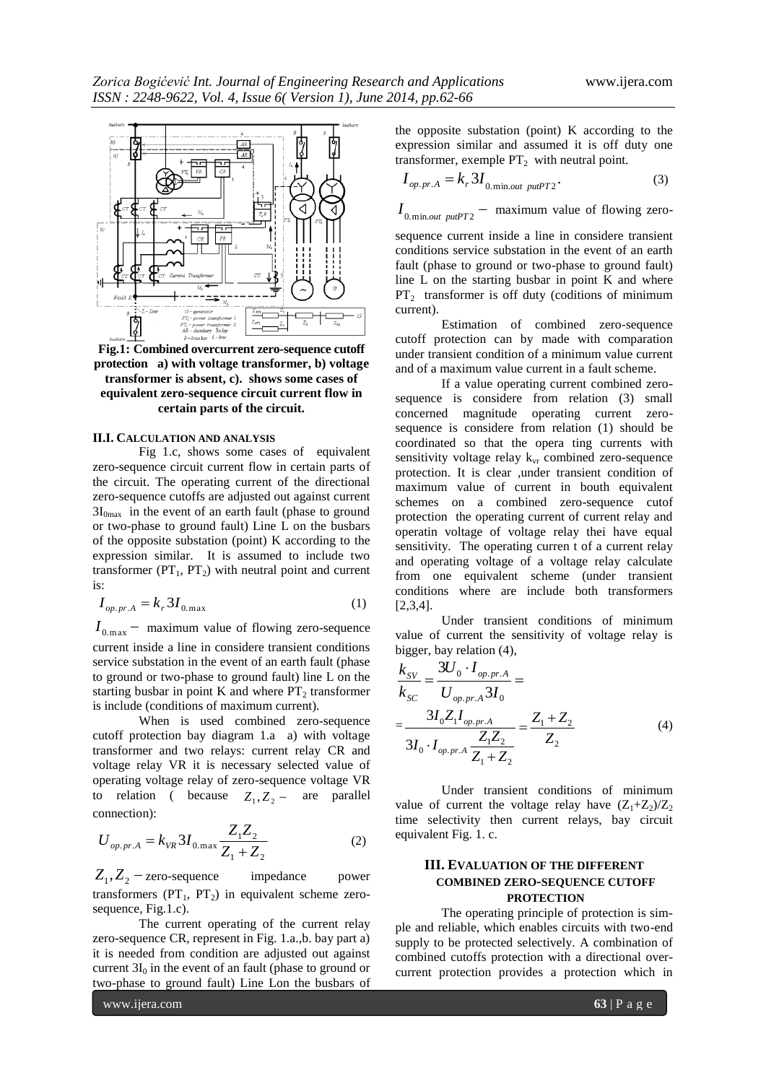

**Fig.1: Combined overcurrent zero-sequence cutoff protection a) with voltage transformer, b) voltage transformer is absent, c). shows some cases of equivalent zero-sequence circuit current flow in certain parts of the circuit.**

#### **II.I. CALCULATION AND ANALYSIS**

Fig 1.c, shows some cases of equivalent zero-sequence circuit current flow in certain parts of the circuit. The operating current of the directional zero-sequence cutoffs are adjusted out against current  $3I_{0max}$  in the event of an earth fault (phase to ground or two-phase to ground fault) Line L on the busbars of the opposite substation (point) K according to the expression similar. It is assumed to include two transformer  $(PT_1, PT_2)$  with neutral point and current is:

$$
I_{op.pr.A} = k_r 3I_{0.\text{max}} \tag{1}
$$

 $I_{0.\text{max}}$  – maximum value of flowing zero-sequence current inside a line in considere transient conditions service substation in the event of an earth fault (phase to ground or two-phase to ground fault) line L on the starting busbar in point K and where  $PT_2$  transformer is include (conditions of maximum current).

When is used combined zero-sequence cutoff protection bay diagram 1.a a) with voltage transformer and two relays: current relay CR and voltage relay VR it is necessary selected value of operating voltage relay of zero-sequence voltage VR to relation ( because  $Z_1, Z_2$  – are parallel connection):

$$
U_{op.pr.A} = k_{VR} 3I_{0.\text{max}} \frac{Z_1 Z_2}{Z_1 + Z_2}
$$
 (2)

 $Z_1$ ,  $Z_2$  – zero-sequence impedance power transformers  $(PT_1, PT_2)$  in equivalent scheme zerosequence, Fig.1.c).

The current operating of the current relay zero-sequence CR, represent in Fig. 1.a.,b. bay part a) it is needed from condition are adjusted out against current  $3I_0$  in the event of an fault (phase to ground or two-phase to ground fault) Line Lon the busbars of

the opposite substation (point) K according to the expression similar and assumed it is off duty one transformer, exemple  $PT_2$  with neutral point.

$$
I_{op.pr.A} = k_r 3I_{0.\text{min.out putPT2}}.\tag{3}
$$

 $I_{0.\text{min.out putPT2}}$  – maximum value of flowing zero-

sequence current inside a line in considere transient conditions service substation in the event of an earth fault (phase to ground or two-phase to ground fault) line L on the starting busbar in point K and where  $PT<sub>2</sub>$  transformer is off duty (coditions of minimum current).

Estimation of combined zero-sequence cutoff protection can by made with comparation under transient condition of a minimum value current and of a maximum value current in a fault scheme.

If a value operating current combined zerosequence is considere from relation (3) small concerned magnitude operating current zerosequence is considere from relation (1) should be coordinated so that the opera ting currents with sensitivity voltage relay  $k_{vr}$  combined zero-sequence protection. It is clear ,under transient condition of maximum value of current in bouth equivalent schemes on a combined zero-sequence cutof protection the operating current of current relay and operatin voltage of voltage relay thei have equal sensitivity. The operating curren t of a current relay and operating voltage of a voltage relay calculate from one equivalent scheme (under transient conditions where are include both transformers [2,3,4].

Under transient conditions of minimum value of current the sensitivity of voltage relay is bigger, bay relation (4),

$$
\frac{k_{SV}}{k_{SC}} = \frac{3U_0 \cdot I_{op. pr.A}}{U_{op. pr.A} 3I_0} =
$$
\n
$$
= \frac{3I_0 Z_1 I_{op. pr.A}}{3I_0 \cdot I_{op. pr.A} \frac{Z_1 Z_2}{Z_1 + Z_2}} = \frac{Z_1 + Z_2}{Z_2}
$$
\n(4)

Under transient conditions of minimum value of current the voltage relay have  $(Z_1+Z_2)/Z_2$ time selectivity then current relays, bay circuit equivalent Fig. 1. c.

# **III. EVALUATION OF THE DIFFERENT COMBINED ZERO-SEQUENCE CUTOFF PROTECTION**

The operating principle of protection is simple and reliable, which enables circuits with two-end supply to be protected selectively. A combination of combined cutoffs protection with a directional overcurrent protection provides a protection which in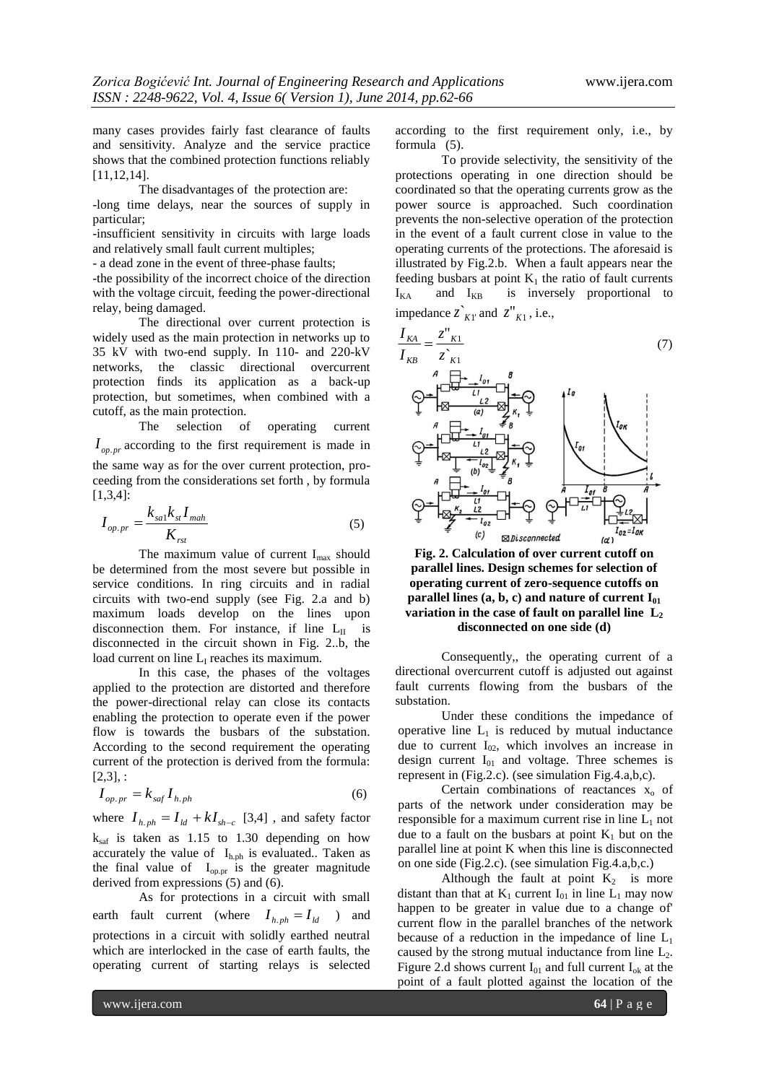many cases provides fairly fast clearance of faults and sensitivity. Analyze and the service practice shows that the combined protection functions reliably [11,12,14].

The disadvantages of the protection are:

-long time delays, near the sources of supply in particular;

-insufficient sensitivity in circuits with large loads and relatively small fault current multiples;

- a dead zone in the event of three-phase faults;

-the possibility of the incorrect choice of the direction with the voltage circuit, feeding the power-directional relay, being damaged.

The directional over current protection is widely used as the main protection in networks up to 35 kV with two-end supply. In 110- and 220-kV networks, the classic directional overcurrent protection finds its application as a back-up protection, but sometimes, when combined with a cutoff, as the main protection.

The selection of operating current  $I_{op.pr}$  according to the first requirement is made in the same way as for the over current protection, proceeding from the considerations set forth , by formula [1,3,4]:

$$
I_{op.pr} = \frac{k_{sal}k_{st}I_{mah}}{K_{rst}}
$$
\n(5)

The maximum value of current  $I_{\text{max}}$  should be determined from the most severe but possible in service conditions. In ring circuits and in radial circuits with two-end supply (see Fig. 2.a and b) maximum loads develop on the lines upon disconnection them. For instance, if line  $L_{II}$  is disconnected in the circuit shown in Fig. 2..b, the load current on line  $L<sub>I</sub>$  reaches its maximum.

In this case, the phases of the voltages applied to the protection are distorted and therefore the power-directional relay can close its contacts enabling the protection to operate even if the power flow is towards the busbars of the substation. According to the second requirement the operating current of the protection is derived from the formula:  $[2,3]$ , :

$$
I_{op.pr} = k_{saf} I_{h.ph} \tag{6}
$$

where  $I_{h,ph} = I_{ld} + kI_{sh-c}$  [3,4], and safety factor  $k_{\text{sat}}$  is taken as 1.15 to 1.30 depending on how accurately the value of  $I_{h,ph}$  is evaluated.. Taken as the final value of  $I_{op,pr}$  is the greater magnitude derived from expressions (5) and (6).

As for protections in a circuit with small earth fault current (where  $I_{h,ph} = I_{ld}$  ) and protections in a circuit with solidly earthed neutral which are interlocked in the case of earth faults, the operating current of starting relays is selected

according to the first requirement only, i.e., by formula (5).

To provide selectivity, the sensitivity of the protections operating in one direction should be coordinated so that the operating currents grow as the power source is approached. Such coordination prevents the non-selective operation of the protection in the event of a fault current close in value to the operating currents of the protections. The aforesaid is illustrated by Fig.2.b. When a fault appears near the feeding busbars at point  $K_1$  the ratio of fault currents  $I_{K_A}$  and  $I_{KB}$  is inversely proportional to  $I_{KA}$  and  $I_{KB}$  is inversely proportional to impedance  $\overline{z}_{K1'}^{\text{}}$  and  $\overline{z}_{K1}^{\text{}}$ , i.e.,



**Fig. 2. Calculation of over current cutoff on parallel lines. Design schemes for selection of operating current of zero-sequence cutoffs on parallel lines (a, b, c) and nature of current**  $I_{01}$ **variation in the case of fault on parallel line L<sup>2</sup> disconnected on one side (d)**

Consequently,, the operating current of a directional overcurrent cutoff is adjusted out against fault currents flowing from the busbars of the substation.

Under these conditions the impedance of operative line  $L_1$  is reduced by mutual inductance due to current  $I_{02}$ , which involves an increase in design current  $I_{01}$  and voltage. Three schemes is represent in (Fig.2.c). (see simulation Fig.4.a,b,c).

Certain combinations of reactances  $x_0$  of parts of the network under consideration may be responsible for a maximum current rise in line  $L_1$  not due to a fault on the busbars at point  $K_1$  but on the parallel line at point K when this line is disconnected on one side (Fig.2.c). (see simulation Fig.4.a,b,c.)

Although the fault at point  $K_2$  is more distant than that at  $K_1$  current  $I_{01}$  in line  $L_1$  may now happen to be greater in value due to a change of' current flow in the parallel branches of the network because of a reduction in the impedance of line  $L_1$ caused by the strong mutual inductance from line  $L_2$ . Figure 2.d shows current  $I_{01}$  and full current  $I_{ok}$  at the point of a fault plotted against the location of the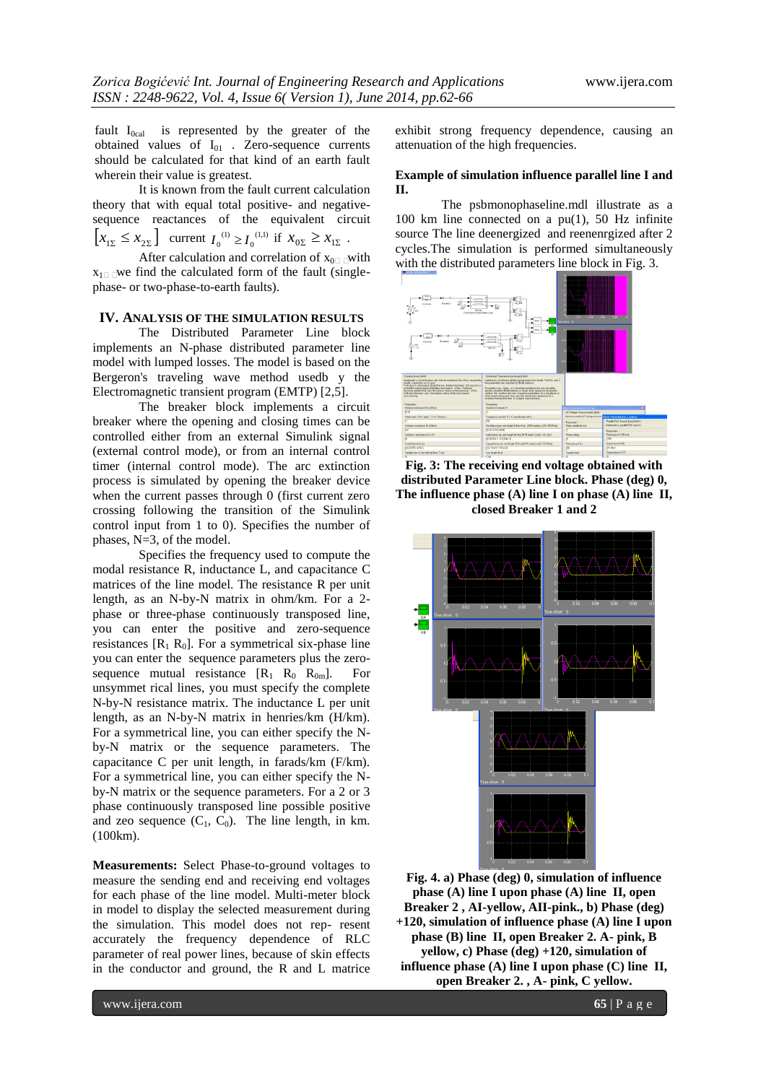fault  $I_{0cal}$  is represented by the greater of the obtained values of  $I_{01}$  . Zero-sequence currents should be calculated for that kind of an earth fault wherein their value is greatest.

It is known from the fault current calculation theory that with equal total positive- and negativesequence reactances of the equivalent circuit  $\left[ x_{1\Sigma} \leq x_{2\Sigma} \right]$  current  $I_0^{(1)} \geq I_0^{(1,1)}$  if  $x_{0\Sigma} \geq x_{1\Sigma}$ .

After calculation and correlation of  $x_{0\Box}$  with  $x_{1\Box}$  we find the calculated form of the fault (singlephase- or two-phase-to-earth faults).

## **IV. ANALYSIS OF THE SIMULATION RESULTS**

The Distributed Parameter Line block implements an N-phase distributed parameter line model with lumped losses. The model is based on the Bergeron's traveling wave method usedb y the Electromagnetic transient program (EMTP) [2,5].

The breaker block implements a circuit breaker where the opening and closing times can be controlled either from an external Simulink signal (external control mode), or from an internal control timer (internal control mode). The arc extinction process is simulated by opening the breaker device when the current passes through 0 (first current zero crossing following the transition of the Simulink control input from 1 to 0). Specifies the number of phases, N=3, of the model.

Specifies the frequency used to compute the modal resistance R, inductance L, and capacitance C matrices of the line model. The resistance R per unit length, as an N-by-N matrix in ohm/km. For a 2 phase or three-phase continuously transposed line, you can enter the positive and zero-sequence resistances  $[R_1 R_0]$ . For a symmetrical six-phase line you can enter the sequence parameters plus the zerosequence mutual resistance  $[R_1 \ R_0 \ R_{0m}]$ . For unsymmet rical lines, you must specify the complete N-by-N resistance matrix. The inductance L per unit length, as an N-by-N matrix in henries/km (H/km). For a symmetrical line, you can either specify the Nby-N matrix or the sequence parameters. The capacitance C per unit length, in farads/km (F/km). For a symmetrical line, you can either specify the Nby-N matrix or the sequence parameters. For a 2 or 3 phase continuously transposed line possible positive and zeo sequence  $(C_1, C_0)$ . The line length, in km. (100km).

**Measurements:** Select Phase-to-ground voltages to measure the sending end and receiving end voltages for each phase of the line model. Multi-meter block in model to display the selected measurement during the simulation. This model does not rep- resent accurately the frequency dependence of RLC parameter of real power lines, because of skin effects in the conductor and ground, the R and L matrice

exhibit strong frequency dependence, causing an attenuation of the high frequencies.

#### **Example of simulation influence parallel line I and II.**

The psbmonophaseline.mdl illustrate as a 100 km line connected on a pu(1), 50 Hz infinite source The line deenergized and reenenrgized after 2 cycles.The simulation is performed simultaneously with the distributed parameters line block in Fig. 3.



**Fig. 3: The receiving end voltage obtained with distributed Parameter Line block. Phase (deg) 0, The influence phase (A) line I on phase (A) line II, closed Breaker 1 and 2**



**Fig. 4. a) Phase (deg) 0, simulation of influence phase (A) line I upon phase (A) line II, open Breaker 2 , AI-yellow, AII-pink., b) Phase (deg) +120, simulation of influence phase (A) line I upon phase (B) line II, open Breaker 2. A- pink, B yellow, c) Phase (deg) +120, simulation of influence phase (A) line I upon phase (C) line II, open Breaker 2. , A- pink, C yellow.**